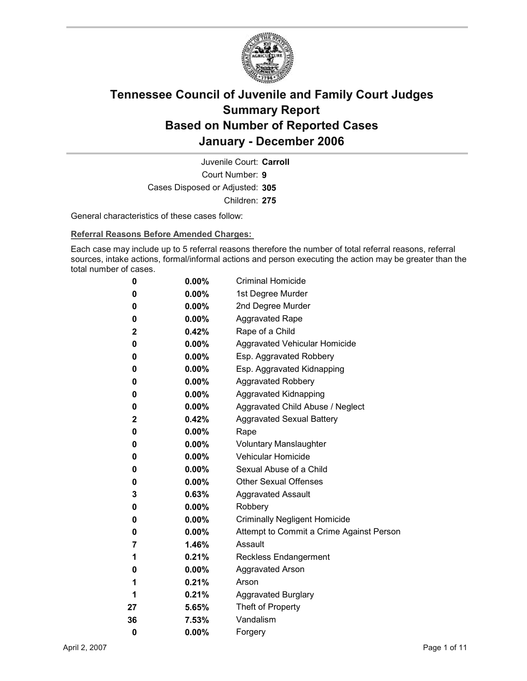

Court Number: **9** Juvenile Court: **Carroll** Cases Disposed or Adjusted: **305** Children: **275**

General characteristics of these cases follow:

**Referral Reasons Before Amended Charges:** 

Each case may include up to 5 referral reasons therefore the number of total referral reasons, referral sources, intake actions, formal/informal actions and person executing the action may be greater than the total number of cases.

| 0            | $0.00\%$ | <b>Criminal Homicide</b>                 |
|--------------|----------|------------------------------------------|
| 0            | $0.00\%$ | 1st Degree Murder                        |
| 0            | $0.00\%$ | 2nd Degree Murder                        |
| 0            | $0.00\%$ | <b>Aggravated Rape</b>                   |
| $\mathbf{2}$ | $0.42\%$ | Rape of a Child                          |
| 0            | $0.00\%$ | Aggravated Vehicular Homicide            |
| 0            | $0.00\%$ | Esp. Aggravated Robbery                  |
| 0            | $0.00\%$ | Esp. Aggravated Kidnapping               |
| 0            | $0.00\%$ | <b>Aggravated Robbery</b>                |
| 0            | $0.00\%$ | <b>Aggravated Kidnapping</b>             |
| 0            | $0.00\%$ | Aggravated Child Abuse / Neglect         |
| $\mathbf 2$  | 0.42%    | <b>Aggravated Sexual Battery</b>         |
| 0            | $0.00\%$ | Rape                                     |
| 0            | $0.00\%$ | <b>Voluntary Manslaughter</b>            |
| 0            | $0.00\%$ | <b>Vehicular Homicide</b>                |
| 0            | $0.00\%$ | Sexual Abuse of a Child                  |
| 0            | $0.00\%$ | <b>Other Sexual Offenses</b>             |
| 3            | $0.63\%$ | <b>Aggravated Assault</b>                |
| 0            | $0.00\%$ | Robbery                                  |
| 0            | $0.00\%$ | <b>Criminally Negligent Homicide</b>     |
| 0            | $0.00\%$ | Attempt to Commit a Crime Against Person |
| 7            | 1.46%    | Assault                                  |
| 1            | $0.21\%$ | <b>Reckless Endangerment</b>             |
| 0            | $0.00\%$ | <b>Aggravated Arson</b>                  |
| 1            | 0.21%    | Arson                                    |
| 1            | 0.21%    | <b>Aggravated Burglary</b>               |
| 27           | 5.65%    | Theft of Property                        |
| 36           | $7.53\%$ | Vandalism                                |
| 0            | 0.00%    | Forgery                                  |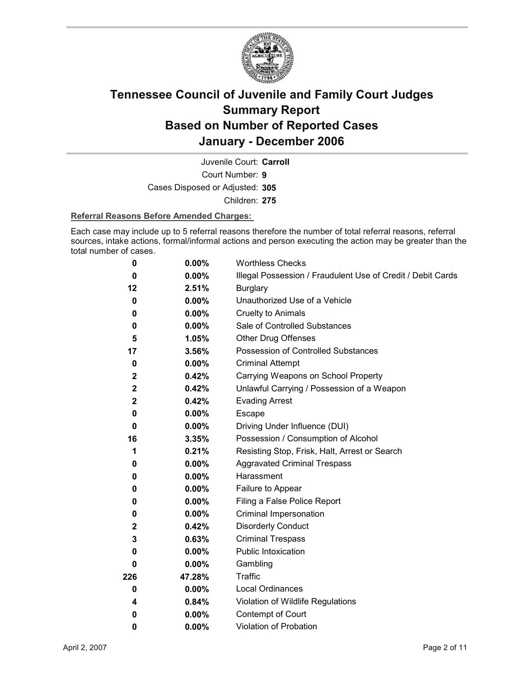

Court Number: **9** Juvenile Court: **Carroll** Cases Disposed or Adjusted: **305**

Children: **275**

#### **Referral Reasons Before Amended Charges:**

Each case may include up to 5 referral reasons therefore the number of total referral reasons, referral sources, intake actions, formal/informal actions and person executing the action may be greater than the total number of cases.

| 0            | 0.00%    | <b>Worthless Checks</b>                                     |
|--------------|----------|-------------------------------------------------------------|
| 0            | $0.00\%$ | Illegal Possession / Fraudulent Use of Credit / Debit Cards |
| 12           | 2.51%    | <b>Burglary</b>                                             |
| 0            | $0.00\%$ | Unauthorized Use of a Vehicle                               |
| 0            | $0.00\%$ | <b>Cruelty to Animals</b>                                   |
| 0            | $0.00\%$ | Sale of Controlled Substances                               |
| 5            | 1.05%    | <b>Other Drug Offenses</b>                                  |
| 17           | 3.56%    | Possession of Controlled Substances                         |
| 0            | $0.00\%$ | <b>Criminal Attempt</b>                                     |
| $\mathbf{2}$ | 0.42%    | Carrying Weapons on School Property                         |
| $\mathbf 2$  | 0.42%    | Unlawful Carrying / Possession of a Weapon                  |
| $\mathbf{2}$ | 0.42%    | <b>Evading Arrest</b>                                       |
| 0            | $0.00\%$ | Escape                                                      |
| $\bf{0}$     | $0.00\%$ | Driving Under Influence (DUI)                               |
| 16           | 3.35%    | Possession / Consumption of Alcohol                         |
| 1            | 0.21%    | Resisting Stop, Frisk, Halt, Arrest or Search               |
| 0            | $0.00\%$ | <b>Aggravated Criminal Trespass</b>                         |
| 0            | $0.00\%$ | Harassment                                                  |
| 0            | $0.00\%$ | Failure to Appear                                           |
| 0            | 0.00%    | Filing a False Police Report                                |
| 0            | $0.00\%$ | Criminal Impersonation                                      |
| $\mathbf{2}$ | 0.42%    | <b>Disorderly Conduct</b>                                   |
| 3            | 0.63%    | <b>Criminal Trespass</b>                                    |
| 0            | $0.00\%$ | Public Intoxication                                         |
| 0            | $0.00\%$ | Gambling                                                    |
| 226          | 47.28%   | <b>Traffic</b>                                              |
| $\bf{0}$     | $0.00\%$ | <b>Local Ordinances</b>                                     |
| 4            | 0.84%    | Violation of Wildlife Regulations                           |
| 0            | $0.00\%$ | Contempt of Court                                           |
| 0            | 0.00%    | <b>Violation of Probation</b>                               |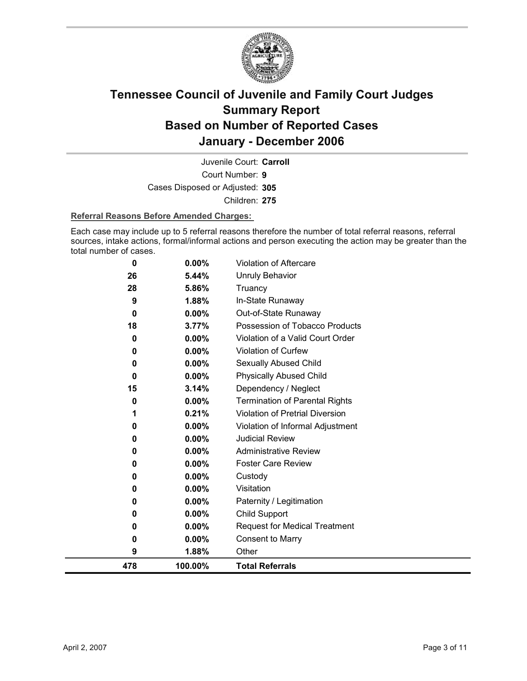

Court Number: **9** Juvenile Court: **Carroll** Cases Disposed or Adjusted: **305** Children: **275**

#### **Referral Reasons Before Amended Charges:**

Each case may include up to 5 referral reasons therefore the number of total referral reasons, referral sources, intake actions, formal/informal actions and person executing the action may be greater than the total number of cases.

| 0   | 0.00%    | Violation of Aftercare                |
|-----|----------|---------------------------------------|
| 26  | 5.44%    | <b>Unruly Behavior</b>                |
| 28  | 5.86%    | Truancy                               |
| 9   | 1.88%    | In-State Runaway                      |
| 0   | 0.00%    | Out-of-State Runaway                  |
| 18  | 3.77%    | Possession of Tobacco Products        |
| 0   | 0.00%    | Violation of a Valid Court Order      |
| 0   | 0.00%    | Violation of Curfew                   |
| 0   | 0.00%    | Sexually Abused Child                 |
| 0   | 0.00%    | <b>Physically Abused Child</b>        |
| 15  | 3.14%    | Dependency / Neglect                  |
| 0   | 0.00%    | <b>Termination of Parental Rights</b> |
| 1   | 0.21%    | Violation of Pretrial Diversion       |
| 0   | 0.00%    | Violation of Informal Adjustment      |
| 0   | $0.00\%$ | <b>Judicial Review</b>                |
| 0   | 0.00%    | <b>Administrative Review</b>          |
| 0   | 0.00%    | <b>Foster Care Review</b>             |
| 0   | 0.00%    | Custody                               |
| 0   | 0.00%    | Visitation                            |
| 0   | $0.00\%$ | Paternity / Legitimation              |
| 0   | 0.00%    | Child Support                         |
| 0   | 0.00%    | <b>Request for Medical Treatment</b>  |
| 0   | 0.00%    | <b>Consent to Marry</b>               |
| 9   | 1.88%    | Other                                 |
| 478 | 100.00%  | <b>Total Referrals</b>                |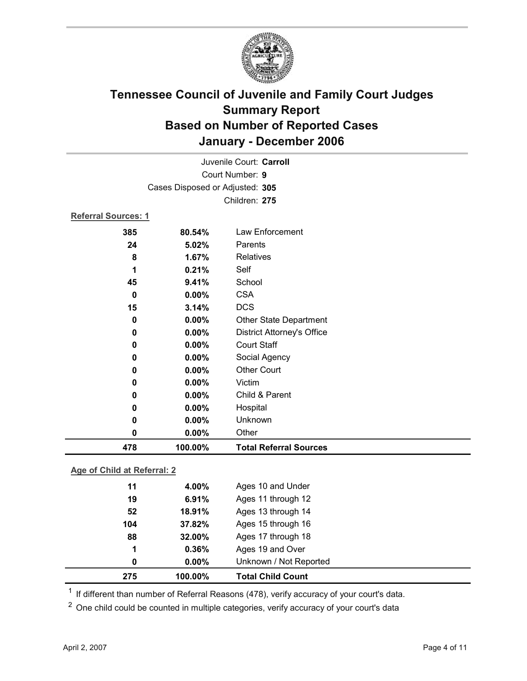

| Juvenile Court: Carroll    |                                 |                                   |  |
|----------------------------|---------------------------------|-----------------------------------|--|
|                            | Court Number: 9                 |                                   |  |
|                            | Cases Disposed or Adjusted: 305 |                                   |  |
|                            |                                 | Children: 275                     |  |
| <b>Referral Sources: 1</b> |                                 |                                   |  |
| 385                        | 80.54%                          | Law Enforcement                   |  |
| 24                         | 5.02%                           | Parents                           |  |
| 8                          | 1.67%                           | <b>Relatives</b>                  |  |
| 1                          | 0.21%                           | Self                              |  |
| 45                         | 9.41%                           | School                            |  |
| $\bf{0}$                   | 0.00%                           | <b>CSA</b>                        |  |
| 15                         | 3.14%                           | <b>DCS</b>                        |  |
| 0                          | 0.00%                           | Other State Department            |  |
| 0                          | 0.00%                           | <b>District Attorney's Office</b> |  |
| 0                          | 0.00%                           | <b>Court Staff</b>                |  |
| 0                          | 0.00%                           | Social Agency                     |  |
| 0                          | 0.00%                           | <b>Other Court</b>                |  |
| 0                          | 0.00%                           | Victim                            |  |
| 0                          | $0.00\%$                        | Child & Parent                    |  |
| 0                          | 0.00%                           | Hospital                          |  |
| 0                          | 0.00%                           | Unknown                           |  |
| 0                          | 0.00%                           | Other                             |  |
| 478                        | 100.00%                         | <b>Total Referral Sources</b>     |  |
|                            |                                 |                                   |  |

### **Age of Child at Referral: 2**

| 275 | 100.00%  | <b>Total Child Count</b> |
|-----|----------|--------------------------|
| 0   | $0.00\%$ | Unknown / Not Reported   |
| 1   | 0.36%    | Ages 19 and Over         |
| 88  | 32.00%   | Ages 17 through 18       |
| 104 | 37.82%   | Ages 15 through 16       |
| 52  | 18.91%   | Ages 13 through 14       |
| 19  | 6.91%    | Ages 11 through 12       |
| 11  | 4.00%    | Ages 10 and Under        |
|     |          |                          |

<sup>1</sup> If different than number of Referral Reasons (478), verify accuracy of your court's data.

<sup>2</sup> One child could be counted in multiple categories, verify accuracy of your court's data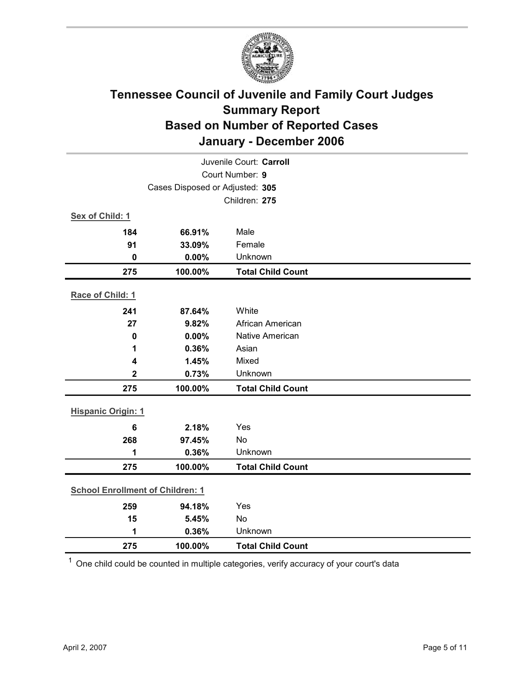

| Juvenile Court: Carroll                 |         |                          |  |
|-----------------------------------------|---------|--------------------------|--|
| Court Number: 9                         |         |                          |  |
| Cases Disposed or Adjusted: 305         |         |                          |  |
|                                         |         | Children: 275            |  |
| Sex of Child: 1                         |         |                          |  |
| 184                                     | 66.91%  | Male                     |  |
| 91                                      | 33.09%  | Female                   |  |
| $\mathbf 0$                             | 0.00%   | Unknown                  |  |
| 275                                     | 100.00% | <b>Total Child Count</b> |  |
| Race of Child: 1                        |         |                          |  |
| 241                                     | 87.64%  | White                    |  |
| 27                                      | 9.82%   | African American         |  |
| $\pmb{0}$                               | 0.00%   | Native American          |  |
| 1                                       | 0.36%   | Asian                    |  |
| 4                                       | 1.45%   | Mixed                    |  |
| $\mathbf 2$                             | 0.73%   | Unknown                  |  |
| 275                                     | 100.00% | <b>Total Child Count</b> |  |
|                                         |         |                          |  |
| <b>Hispanic Origin: 1</b>               |         |                          |  |
| $6\phantom{1}$                          | 2.18%   | Yes                      |  |
| 268                                     | 97.45%  | No                       |  |
| 1                                       | 0.36%   | Unknown                  |  |
| 275                                     | 100.00% | <b>Total Child Count</b> |  |
| <b>School Enrollment of Children: 1</b> |         |                          |  |
| 259                                     | 94.18%  | Yes                      |  |
| 15                                      | 5.45%   | No                       |  |
| 1                                       | 0.36%   | Unknown                  |  |
| 275                                     | 100.00% | <b>Total Child Count</b> |  |

 $1$  One child could be counted in multiple categories, verify accuracy of your court's data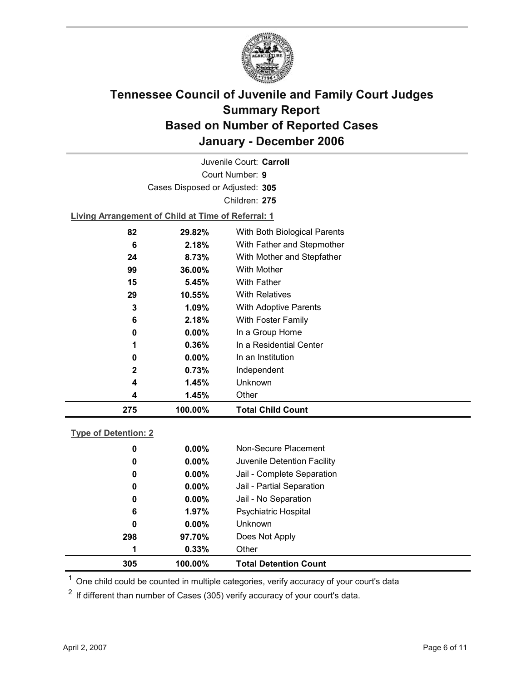

Court Number: **9** Juvenile Court: **Carroll** Cases Disposed or Adjusted: **305** Children: **275**

**Living Arrangement of Child at Time of Referral: 1**

| 275 | 100.00%  | <b>Total Child Count</b>     |
|-----|----------|------------------------------|
| 4   | 1.45%    | Other                        |
| 4   | 1.45%    | Unknown                      |
| 2   | 0.73%    | Independent                  |
| 0   | $0.00\%$ | In an Institution            |
| 1   | $0.36\%$ | In a Residential Center      |
| 0   | $0.00\%$ | In a Group Home              |
| 6   | 2.18%    | With Foster Family           |
| 3   | 1.09%    | With Adoptive Parents        |
| 29  | 10.55%   | <b>With Relatives</b>        |
| 15  | 5.45%    | With Father                  |
| 99  | 36.00%   | With Mother                  |
| 24  | 8.73%    | With Mother and Stepfather   |
| 6   | 2.18%    | With Father and Stepmother   |
| 82  | 29.82%   | With Both Biological Parents |
|     |          |                              |

#### **Type of Detention: 2**

| 305 | 100.00%  | <b>Total Detention Count</b> |
|-----|----------|------------------------------|
| 1   | 0.33%    | Other                        |
| 298 | 97.70%   | Does Not Apply               |
| 0   | $0.00\%$ | <b>Unknown</b>               |
| 6   | 1.97%    | <b>Psychiatric Hospital</b>  |
| 0   | $0.00\%$ | Jail - No Separation         |
| 0   | $0.00\%$ | Jail - Partial Separation    |
| 0   | $0.00\%$ | Jail - Complete Separation   |
| 0   | $0.00\%$ | Juvenile Detention Facility  |
| 0   | $0.00\%$ | Non-Secure Placement         |
|     |          |                              |

 $<sup>1</sup>$  One child could be counted in multiple categories, verify accuracy of your court's data</sup>

 $2$  If different than number of Cases (305) verify accuracy of your court's data.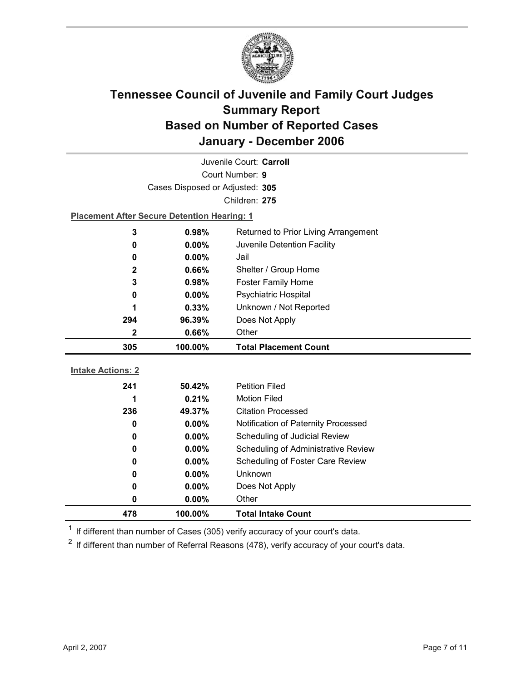

| Juvenile Court: Carroll  |                                                    |                                      |  |  |
|--------------------------|----------------------------------------------------|--------------------------------------|--|--|
|                          | Court Number: 9                                    |                                      |  |  |
|                          | Cases Disposed or Adjusted: 305                    |                                      |  |  |
|                          |                                                    | Children: 275                        |  |  |
|                          | <b>Placement After Secure Detention Hearing: 1</b> |                                      |  |  |
| 3                        | 0.98%                                              | Returned to Prior Living Arrangement |  |  |
| 0                        | 0.00%                                              | Juvenile Detention Facility          |  |  |
| 0                        | $0.00\%$                                           | Jail                                 |  |  |
| 2                        | 0.66%                                              | Shelter / Group Home                 |  |  |
| 3                        | 0.98%                                              | <b>Foster Family Home</b>            |  |  |
| 0                        | $0.00\%$                                           | Psychiatric Hospital                 |  |  |
| 1                        | 0.33%                                              | Unknown / Not Reported               |  |  |
| 294                      | 96.39%                                             | Does Not Apply                       |  |  |
| 2                        | 0.66%                                              | Other                                |  |  |
|                          |                                                    |                                      |  |  |
| 305                      | 100.00%                                            | <b>Total Placement Count</b>         |  |  |
|                          |                                                    |                                      |  |  |
| <b>Intake Actions: 2</b> |                                                    |                                      |  |  |
| 241                      | 50.42%                                             | <b>Petition Filed</b>                |  |  |
| 1                        | 0.21%                                              | <b>Motion Filed</b>                  |  |  |
| 236                      | 49.37%                                             | <b>Citation Processed</b>            |  |  |
| 0                        | $0.00\%$                                           | Notification of Paternity Processed  |  |  |
| 0                        | 0.00%                                              | Scheduling of Judicial Review        |  |  |
| 0                        | 0.00%                                              | Scheduling of Administrative Review  |  |  |
| 0                        | $0.00\%$                                           | Scheduling of Foster Care Review     |  |  |
| 0                        | $0.00\%$                                           | Unknown                              |  |  |
| 0                        | $0.00\%$                                           | Does Not Apply                       |  |  |
| 0                        | $0.00\%$                                           | Other                                |  |  |

 $1$  If different than number of Cases (305) verify accuracy of your court's data.

 $2$  If different than number of Referral Reasons (478), verify accuracy of your court's data.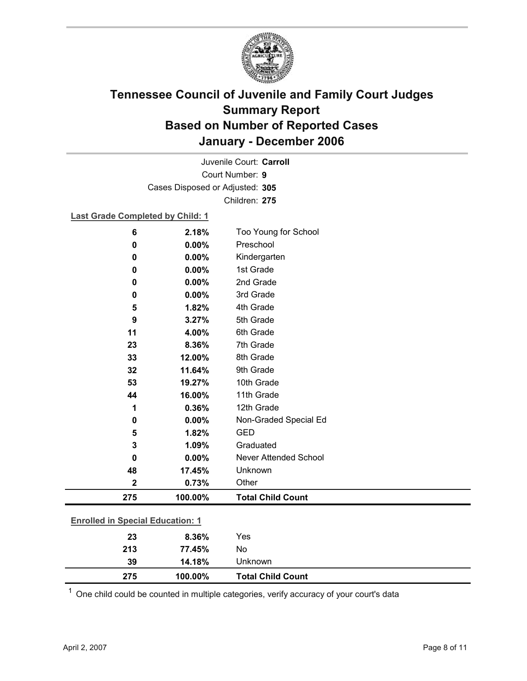

Court Number: **9** Juvenile Court: **Carroll** Cases Disposed or Adjusted: **305** Children: **275**

### **Last Grade Completed by Child: 1**

| 6           | 2.18%                                   | Too Young for School         |  |  |
|-------------|-----------------------------------------|------------------------------|--|--|
| 0           | 0.00%                                   | Preschool                    |  |  |
| 0           | 0.00%                                   | Kindergarten                 |  |  |
| 0           | 0.00%                                   | 1st Grade                    |  |  |
| 0           | 0.00%                                   | 2nd Grade                    |  |  |
| 0           | 0.00%                                   | 3rd Grade                    |  |  |
| 5           | 1.82%                                   | 4th Grade                    |  |  |
| 9           | 3.27%                                   | 5th Grade                    |  |  |
| 11          | 4.00%                                   | 6th Grade                    |  |  |
| 23          | 8.36%                                   | 7th Grade                    |  |  |
| 33          | 12.00%                                  | 8th Grade                    |  |  |
| 32          | 11.64%                                  | 9th Grade                    |  |  |
| 53          | 19.27%                                  | 10th Grade                   |  |  |
| 44          | 16.00%                                  | 11th Grade                   |  |  |
| 1           | 0.36%                                   | 12th Grade                   |  |  |
| 0           | 0.00%                                   | Non-Graded Special Ed        |  |  |
| 5           | 1.82%                                   | <b>GED</b>                   |  |  |
| 3           | 1.09%                                   | Graduated                    |  |  |
| 0           | 0.00%                                   | <b>Never Attended School</b> |  |  |
| 48          | 17.45%                                  | Unknown                      |  |  |
| $\mathbf 2$ | 0.73%                                   | Other                        |  |  |
| 275         | 100.00%                                 | <b>Total Child Count</b>     |  |  |
|             | <b>Enrolled in Special Education: 1</b> |                              |  |  |
| 23          | 8.36%                                   | Yes                          |  |  |
| 213         | 77.45%                                  | No                           |  |  |

 $1$  One child could be counted in multiple categories, verify accuracy of your court's data

**39 14.18%** Unknown

**275 100.00% Total Child Count**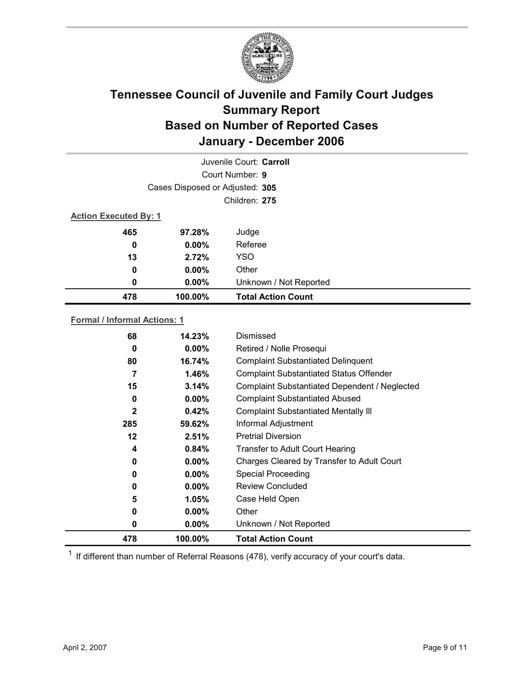

| Juvenile Court: Carroll |                                 |                           |  |  |  |
|-------------------------|---------------------------------|---------------------------|--|--|--|
|                         | Court Number: 9                 |                           |  |  |  |
|                         | Cases Disposed or Adjusted: 305 |                           |  |  |  |
|                         | Children: 275                   |                           |  |  |  |
|                         | <b>Action Executed By: 1</b>    |                           |  |  |  |
| 465                     | 97.28%                          | Judge                     |  |  |  |
| 0                       | $0.00\%$                        | Referee                   |  |  |  |
| 13                      | 2.72%                           | <b>YSO</b>                |  |  |  |
| 0                       | $0.00\%$                        | Other                     |  |  |  |
| 0                       | $0.00\%$                        | Unknown / Not Reported    |  |  |  |
| 478                     | 100.00%                         | <b>Total Action Count</b> |  |  |  |

### **Formal / Informal Actions: 1**

| 478          | 100.00%  | <b>Total Action Count</b>                      |
|--------------|----------|------------------------------------------------|
| 0            | $0.00\%$ | Unknown / Not Reported                         |
| 0            | $0.00\%$ | Other                                          |
| 5            | $1.05\%$ | Case Held Open                                 |
| 0            | $0.00\%$ | <b>Review Concluded</b>                        |
| 0            | $0.00\%$ | <b>Special Proceeding</b>                      |
| 0            | $0.00\%$ | Charges Cleared by Transfer to Adult Court     |
| 4            | 0.84%    | <b>Transfer to Adult Court Hearing</b>         |
| 12           | 2.51%    | <b>Pretrial Diversion</b>                      |
| 285          | 59.62%   | Informal Adjustment                            |
| $\mathbf{2}$ | 0.42%    | <b>Complaint Substantiated Mentally III</b>    |
| 0            | $0.00\%$ | <b>Complaint Substantiated Abused</b>          |
| 15           | 3.14%    | Complaint Substantiated Dependent / Neglected  |
| 7            | 1.46%    | <b>Complaint Substantiated Status Offender</b> |
| 80           | 16.74%   | <b>Complaint Substantiated Delinquent</b>      |
| 0            | $0.00\%$ | Retired / Nolle Prosequi                       |
| 68           | 14.23%   | Dismissed                                      |
|              |          |                                                |

 $1$  If different than number of Referral Reasons (478), verify accuracy of your court's data.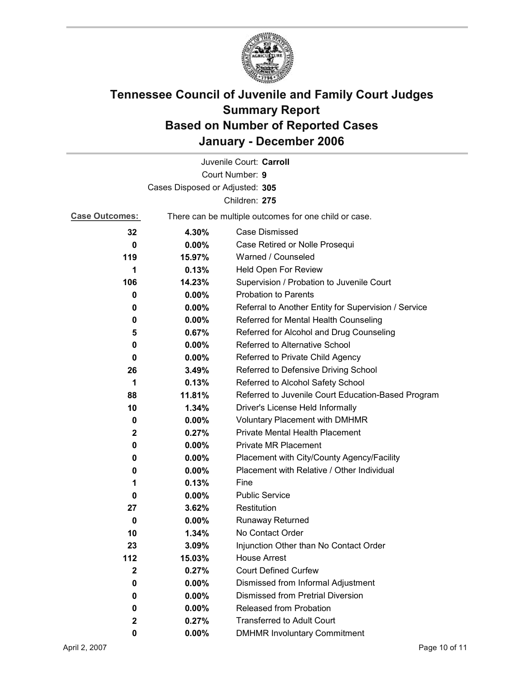

| Juvenile Court: Carroll         |          |                                                       |  |
|---------------------------------|----------|-------------------------------------------------------|--|
|                                 |          | Court Number: 9                                       |  |
| Cases Disposed or Adjusted: 305 |          |                                                       |  |
|                                 |          | Children: 275                                         |  |
| <b>Case Outcomes:</b>           |          | There can be multiple outcomes for one child or case. |  |
| 32                              | 4.30%    | Case Dismissed                                        |  |
| $\bf{0}$                        | $0.00\%$ | Case Retired or Nolle Prosequi                        |  |
| 119                             | 15.97%   | Warned / Counseled                                    |  |
| 1                               | 0.13%    | Held Open For Review                                  |  |
| 106                             | 14.23%   | Supervision / Probation to Juvenile Court             |  |
| 0                               | $0.00\%$ | <b>Probation to Parents</b>                           |  |
| 0                               | $0.00\%$ | Referral to Another Entity for Supervision / Service  |  |
| 0                               | $0.00\%$ | Referred for Mental Health Counseling                 |  |
| 5                               | 0.67%    | Referred for Alcohol and Drug Counseling              |  |
| 0                               | $0.00\%$ | Referred to Alternative School                        |  |
| 0                               | $0.00\%$ | Referred to Private Child Agency                      |  |
| 26                              | 3.49%    | Referred to Defensive Driving School                  |  |
| 1                               | 0.13%    | Referred to Alcohol Safety School                     |  |
| 88                              | 11.81%   | Referred to Juvenile Court Education-Based Program    |  |
| 10                              | 1.34%    | Driver's License Held Informally                      |  |
| 0                               | $0.00\%$ | <b>Voluntary Placement with DMHMR</b>                 |  |
| $\mathbf{2}$                    | 0.27%    | <b>Private Mental Health Placement</b>                |  |
| 0                               | $0.00\%$ | <b>Private MR Placement</b>                           |  |
| 0                               | $0.00\%$ | Placement with City/County Agency/Facility            |  |
| 0                               | $0.00\%$ | Placement with Relative / Other Individual            |  |
| 1                               | 0.13%    | Fine                                                  |  |
| 0                               | $0.00\%$ | <b>Public Service</b>                                 |  |
| 27                              | 3.62%    | Restitution                                           |  |
| 0                               | $0.00\%$ | Runaway Returned                                      |  |
| 10                              | 1.34%    | No Contact Order                                      |  |
| 23                              | 3.09%    | Injunction Other than No Contact Order                |  |
| 112                             | 15.03%   | <b>House Arrest</b>                                   |  |
| $\mathbf 2$                     | 0.27%    | <b>Court Defined Curfew</b>                           |  |
| 0                               | $0.00\%$ | Dismissed from Informal Adjustment                    |  |
| 0                               | $0.00\%$ | <b>Dismissed from Pretrial Diversion</b>              |  |
| 0                               | $0.00\%$ | Released from Probation                               |  |
| $\mathbf 2$                     | 0.27%    | <b>Transferred to Adult Court</b>                     |  |
| 0                               | $0.00\%$ | <b>DMHMR Involuntary Commitment</b>                   |  |